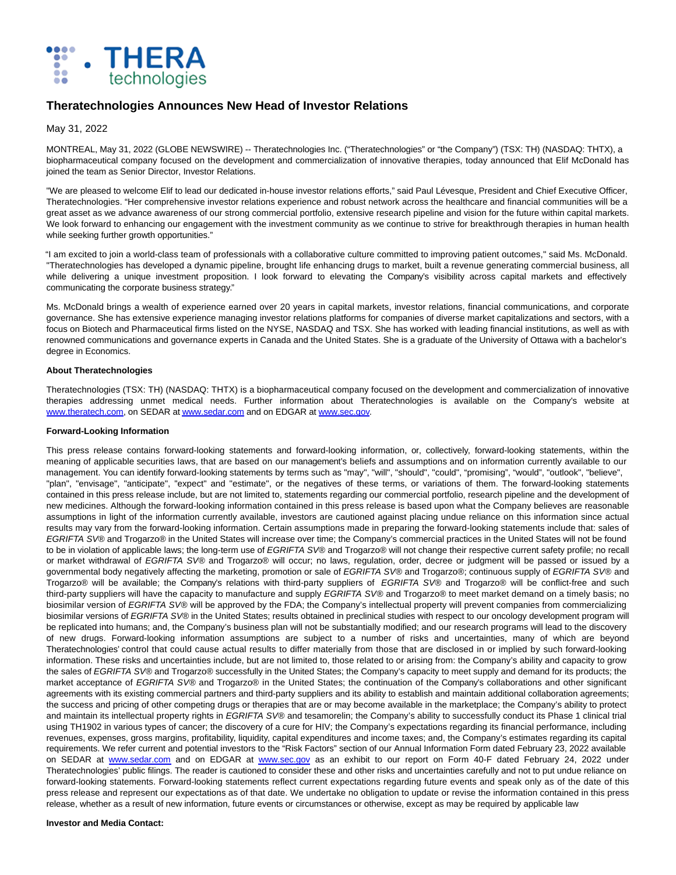

# **Theratechnologies Announces New Head of Investor Relations**

## May 31, 2022

MONTREAL, May 31, 2022 (GLOBE NEWSWIRE) -- Theratechnologies Inc. ("Theratechnologies" or "the Company") (TSX: TH) (NASDAQ: THTX), a biopharmaceutical company focused on the development and commercialization of innovative therapies, today announced that Elif McDonald has joined the team as Senior Director, Investor Relations.

"We are pleased to welcome Elif to lead our dedicated in-house investor relations efforts," said Paul Lévesque, President and Chief Executive Officer, Theratechnologies. "Her comprehensive investor relations experience and robust network across the healthcare and financial communities will be a great asset as we advance awareness of our strong commercial portfolio, extensive research pipeline and vision for the future within capital markets. We look forward to enhancing our engagement with the investment community as we continue to strive for breakthrough therapies in human health while seeking further growth opportunities."

"I am excited to join a world-class team of professionals with a collaborative culture committed to improving patient outcomes," said Ms. McDonald. "Theratechnologies has developed a dynamic pipeline, brought life enhancing drugs to market, built a revenue generating commercial business, all while delivering a unique investment proposition. I look forward to elevating the Company's visibility across capital markets and effectively communicating the corporate business strategy."

Ms. McDonald brings a wealth of experience earned over 20 years in capital markets, investor relations, financial communications, and corporate governance. She has extensive experience managing investor relations platforms for companies of diverse market capitalizations and sectors, with a focus on Biotech and Pharmaceutical firms listed on the NYSE, NASDAQ and TSX. She has worked with leading financial institutions, as well as with renowned communications and governance experts in Canada and the United States. She is a graduate of the University of Ottawa with a bachelor's degree in Economics.

### **About Theratechnologies**

Theratechnologies (TSX: TH) (NASDAQ: THTX) is a biopharmaceutical company focused on the development and commercialization of innovative therapies addressing unmet medical needs. Further information about Theratechnologies is available on the Company's website at [www.theratech.com,](https://www.globenewswire.com/Tracker?data=n_lJIPjjCfck_mf5fAvvwr7wD4s9PNrsRzWpMSG_gHjVAIcwFAGI7tupUx1pGcDvl9aLNOIGvyjw7wG9Z85bfw==) on SEDAR a[t www.sedar.com a](https://www.globenewswire.com/Tracker?data=GwMOnzShJYUKqShxzHIMmZzml65pMHYBZb8mRhFFdnxqB63eQw-AgJ601SiSU03jPdEAP0vU2oKOw2ljWU7PlQ==)nd on EDGAR at [www.sec.gov.](https://www.globenewswire.com/Tracker?data=GwMOnzShJYUKqShxzHIMmTW6X5L9iiAT7vcabe9d807TtfILIDyvQ6h6evlr3UebeFStOBAZ-vXe8ggLzEtm5A==)

### **Forward-Looking Information**

This press release contains forward-looking statements and forward-looking information, or, collectively, forward-looking statements, within the meaning of applicable securities laws, that are based on our management's beliefs and assumptions and on information currently available to our management. You can identify forward-looking statements by terms such as "may", "will", "should", "could", "promising", "would", "outlook", "believe", "plan", "envisage", "anticipate", "expect" and "estimate", or the negatives of these terms, or variations of them. The forward-looking statements contained in this press release include, but are not limited to, statements regarding our commercial portfolio, research pipeline and the development of new medicines. Although the forward-looking information contained in this press release is based upon what the Company believes are reasonable assumptions in light of the information currently available, investors are cautioned against placing undue reliance on this information since actual results may vary from the forward-looking information. Certain assumptions made in preparing the forward-looking statements include that: sales of EGRIFTA SV® and Trogarzo® in the United States will increase over time; the Company's commercial practices in the United States will not be found to be in violation of applicable laws; the long-term use of EGRIFTA SV® and Trogarzo® will not change their respective current safety profile; no recall or market withdrawal of EGRIFTA SV® and Trogarzo® will occur; no laws, regulation, order, decree or judgment will be passed or issued by a governmental body negatively affecting the marketing, promotion or sale of EGRIFTA SV® and Trogarzo®; continuous supply of EGRIFTA SV® and Trogarzo® will be available; the Company's relations with third-party suppliers of EGRIFTA SV® and Trogarzo® will be conflict-free and such third-party suppliers will have the capacity to manufacture and supply EGRIFTA SV® and Trogarzo® to meet market demand on a timely basis; no biosimilar version of EGRIFTA SV® will be approved by the FDA; the Company's intellectual property will prevent companies from commercializing biosimilar versions of EGRIFTA SV® in the United States; results obtained in preclinical studies with respect to our oncology development program will be replicated into humans; and, the Company's business plan will not be substantially modified; and our research programs will lead to the discovery of new drugs. Forward-looking information assumptions are subject to a number of risks and uncertainties, many of which are beyond Theratechnologies' control that could cause actual results to differ materially from those that are disclosed in or implied by such forward-looking information. These risks and uncertainties include, but are not limited to, those related to or arising from: the Company's ability and capacity to grow the sales of EGRIFTA SV® and Trogarzo® successfully in the United States; the Company's capacity to meet supply and demand for its products; the market acceptance of EGRIFTA SV® and Trogarzo® in the United States; the continuation of the Company's collaborations and other significant agreements with its existing commercial partners and third-party suppliers and its ability to establish and maintain additional collaboration agreements; the success and pricing of other competing drugs or therapies that are or may become available in the marketplace; the Company's ability to protect and maintain its intellectual property rights in EGRIFTA SV® and tesamorelin; the Company's ability to successfully conduct its Phase 1 clinical trial using TH1902 in various types of cancer; the discovery of a cure for HIV; the Company's expectations regarding its financial performance, including revenues, expenses, gross margins, profitability, liquidity, capital expenditures and income taxes; and, the Company's estimates regarding its capital requirements. We refer current and potential investors to the "Risk Factors" section of our Annual Information Form dated February 23, 2022 available on SEDAR at [www.sedar.com](https://www.globenewswire.com/Tracker?data=GwMOnzShJYUKqShxzHIMmTXVntOi7l2loN-sZPCPFiZcYp6lIiSSTQFikcs9r5D9A76iirBeCzuzFUnbrpJtUQ==) and on EDGAR at [www.sec.gov](https://www.globenewswire.com/Tracker?data=GwMOnzShJYUKqShxzHIMmWBDzIYdEQk7E6ea5Jyle9ScuKP4xPi4Q4qD8gF6putb6ozQS2r-Yb8399arz1L94Q==) as an exhibit to our report on Form 40-F dated February 24, 2022 under Theratechnologies' public filings. The reader is cautioned to consider these and other risks and uncertainties carefully and not to put undue reliance on forward-looking statements. Forward-looking statements reflect current expectations regarding future events and speak only as of the date of this press release and represent our expectations as of that date. We undertake no obligation to update or revise the information contained in this press release, whether as a result of new information, future events or circumstances or otherwise, except as may be required by applicable law

#### **Investor and Media Contact:**